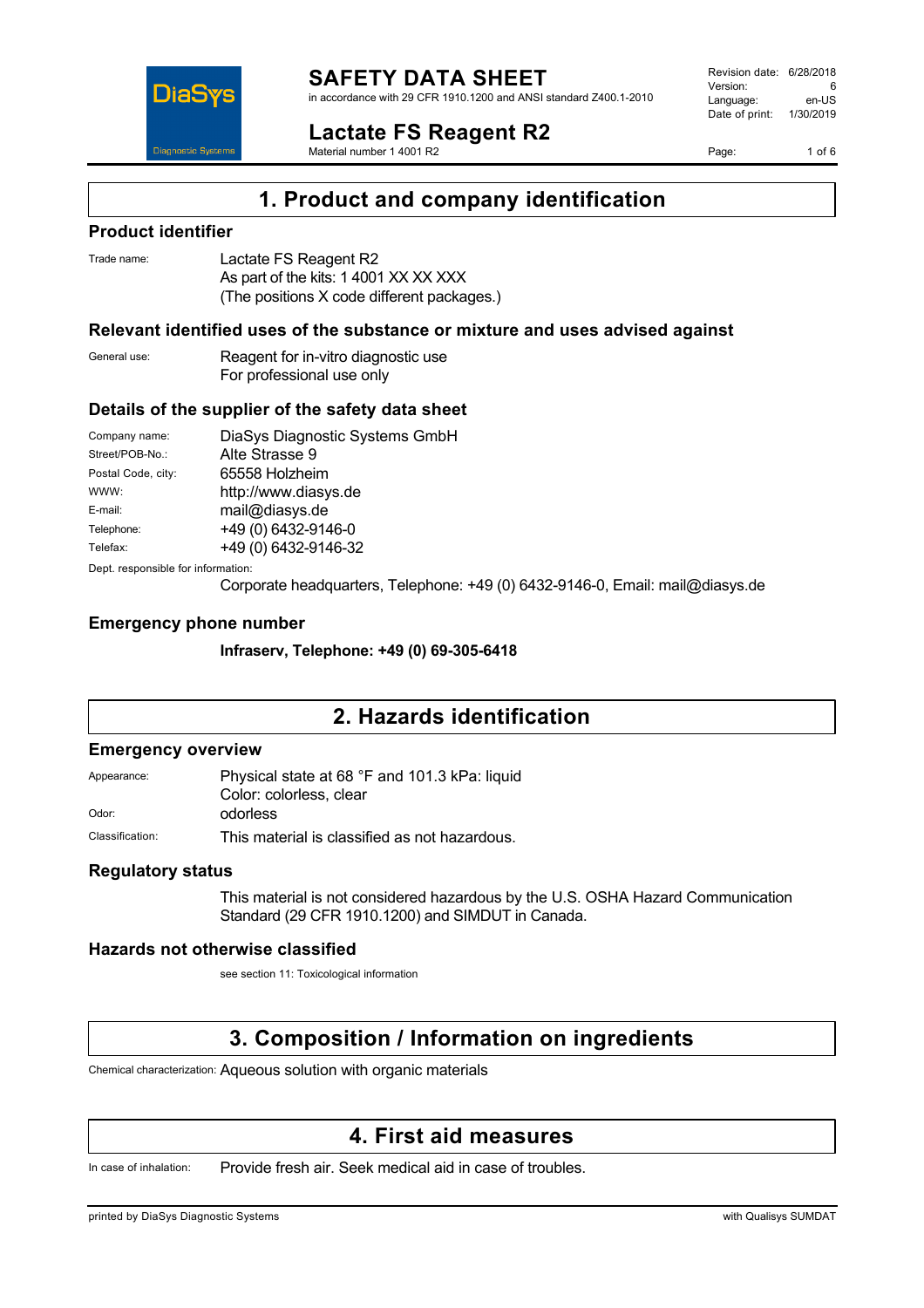

in accordance with 29 CFR 1910.1200 and ANSI standard Z400.1-2010

**Lactate FS Reagent R2** Material number 1 4001 R2

Revision date: 6/28/2018 Version: 6<br>Language: en-LIS Language: Date of print: 1/30/2019

Page: 1 of 6



**1. Product and company identification**

### **Product identifier**

| Trade name: | Lactate FS Reagent R2                      |
|-------------|--------------------------------------------|
|             | As part of the kits: 1 4001 XX XX XXX      |
|             | (The positions X code different packages.) |

#### **Relevant identified uses of the substance or mixture and uses advised against**

General use: Reagent for in-vitro diagnostic use For professional use only

#### **Details of the supplier of the safety data sheet**

| Company name:                      | DiaSys Diagnostic Systems GmbH |  |
|------------------------------------|--------------------------------|--|
| Street/POB-No.:                    | Alte Strasse 9                 |  |
| Postal Code, city:                 | 65558 Holzheim                 |  |
| WWW:                               | http://www.diasys.de           |  |
| E-mail:                            | mail@diasys.de                 |  |
| Telephone:                         | +49 (0) 6432-9146-0            |  |
| Telefax:                           | +49 (0) 6432-9146-32           |  |
| Dept. responsible for information: |                                |  |

Corporate headquarters, Telephone: +49 (0) 6432-9146-0, Email: mail@diasys.de

#### **Emergency phone number**

**Infraserv, Telephone: +49 (0) 69-305-6418**

### **2. Hazards identification**

#### **Emergency overview**

Appearance: Physical state at 68 °F and 101.3 kPa: liquid Color: colorless, clear Odor: odorless

Classification: This material is classified as not hazardous.

#### **Regulatory status**

This material is not considered hazardous by the U.S. OSHA Hazard Communication Standard (29 CFR 1910.1200) and SIMDUT in Canada.

#### **Hazards not otherwise classified**

see section 11: Toxicological information

## **3. Composition / Information on ingredients**

Chemical characterization: Aqueous solution with organic materials

### **4. First aid measures**

In case of inhalation: Provide fresh air. Seek medical aid in case of troubles.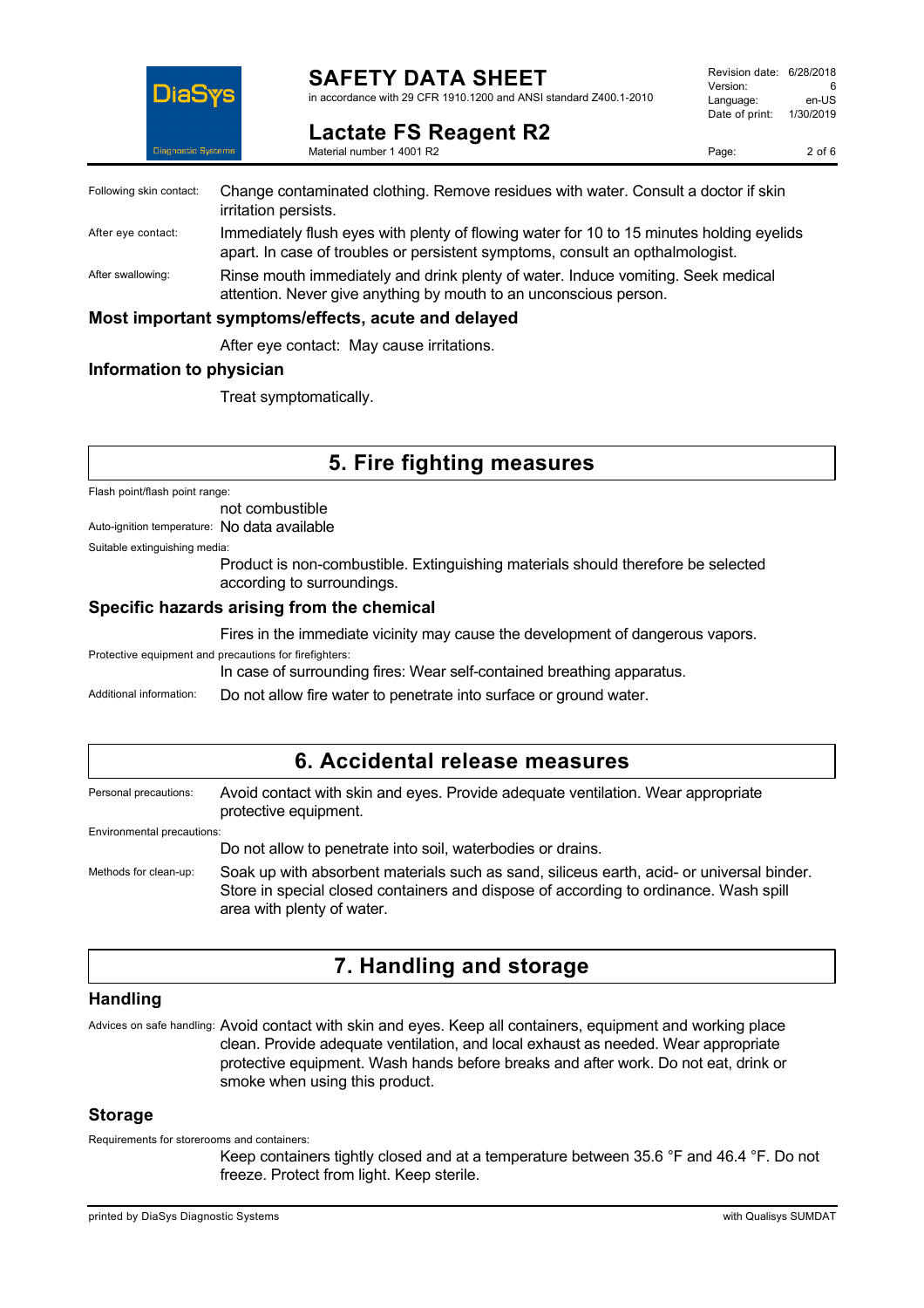

### **SAFETY DATA SHEET**

in accordance with 29 CFR 1910.1200 and ANSI standard Z400.1-2010

| Revision date: 6/28/2018 |           |
|--------------------------|-----------|
| Version:                 | 6         |
| Language:                | en-US     |
| Date of print:           | 1/30/2019 |
|                          |           |

Page: 2 of 6

| <b>Lactate FS Reagent R2</b> |  |  |
|------------------------------|--|--|
| Material number 1 4001 R2    |  |  |

Following skin contact: Change contaminated clothing. Remove residues with water. Consult a doctor if skin irritation persists. After eye contact: Immediately flush eyes with plenty of flowing water for 10 to 15 minutes holding eyelids apart. In case of troubles or persistent symptoms, consult an opthalmologist.

After swallowing: Rinse mouth immediately and drink plenty of water. Induce vomiting. Seek medical attention. Never give anything by mouth to an unconscious person.

#### **Most important symptoms/effects, acute and delayed**

After eye contact: May cause irritations.

#### **Information to physician**

Treat symptomatically.

### **5. Fire fighting measures**

Flash point/flash point range:

not combustible

Auto-ignition temperature: No data available

Suitable extinguishing media:

Product is non-combustible. Extinguishing materials should therefore be selected according to surroundings.

#### **Specific hazards arising from the chemical**

Fires in the immediate vicinity may cause the development of dangerous vapors.

Protective equipment and precautions for firefighters:

In case of surrounding fires: Wear self-contained breathing apparatus.

Additional information: Do not allow fire water to penetrate into surface or ground water.

### **6. Accidental release measures**

Personal precautions: Avoid contact with skin and eyes. Provide adequate ventilation. Wear appropriate protective equipment. Environmental precautions:

Do not allow to penetrate into soil, waterbodies or drains.

Methods for clean-up: Soak up with absorbent materials such as sand, siliceus earth, acid- or universal binder. Store in special closed containers and dispose of according to ordinance. Wash spill area with plenty of water.

## **7. Handling and storage**

#### **Handling**

Advices on safe handling: Avoid contact with skin and eyes. Keep all containers, equipment and working place clean. Provide adequate ventilation, and local exhaust as needed. Wear appropriate protective equipment. Wash hands before breaks and after work. Do not eat, drink or smoke when using this product.

#### **Storage**

Requirements for storerooms and containers:

Keep containers tightly closed and at a temperature between 35.6 °F and 46.4 °F. Do not freeze. Protect from light. Keep sterile.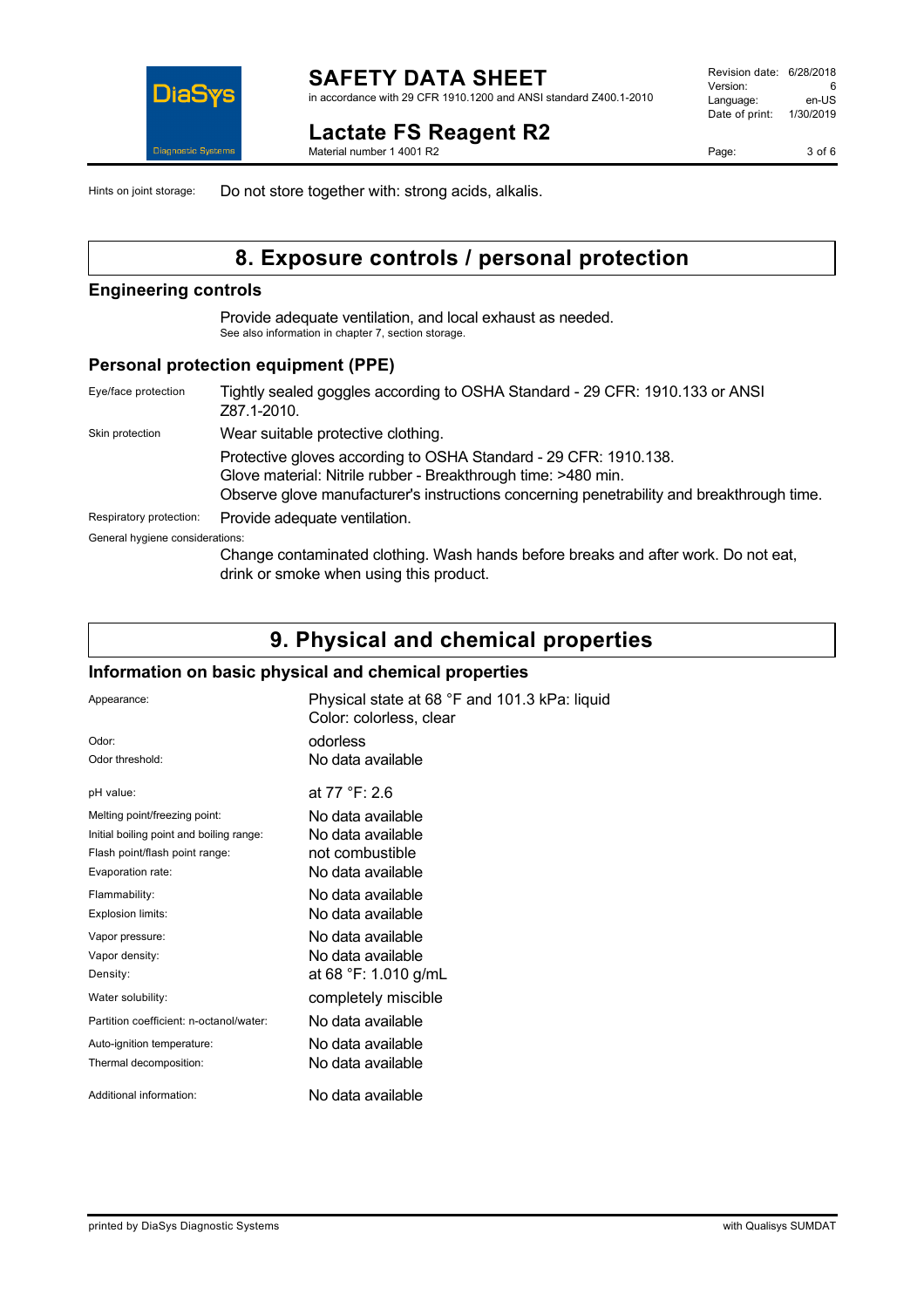## **Lactate FS Reagent R2**

Material number 1 4001 R2

Page: 3 of 6

Hints on joint storage: Do not store together with: strong acids, alkalis.

## **8. Exposure controls / personal protection**

#### **Engineering controls**

Provide adequate ventilation, and local exhaust as needed. See also information in chapter 7, section storage.

#### **Personal protection equipment (PPE)**

| Eye/face protection             | Tightly sealed goggles according to OSHA Standard - 29 CFR: 1910.133 or ANSI<br>Z87.1-2010.                                                                                                                                    |
|---------------------------------|--------------------------------------------------------------------------------------------------------------------------------------------------------------------------------------------------------------------------------|
| Skin protection                 | Wear suitable protective clothing.                                                                                                                                                                                             |
|                                 | Protective gloves according to OSHA Standard - 29 CFR: 1910.138.<br>Glove material: Nitrile rubber - Breakthrough time: >480 min.<br>Observe glove manufacturer's instructions concerning penetrability and breakthrough time. |
| Respiratory protection:         | Provide adequate ventilation.                                                                                                                                                                                                  |
| General hygiene considerations: |                                                                                                                                                                                                                                |
|                                 | Change contaminated clothing. Wash hands before breaks and after work. Do not eat,<br>drink or smoke when using this product.                                                                                                  |

## **9. Physical and chemical properties**

#### **Information on basic physical and chemical properties**

| Appearance:                              | Physical state at 68 °F and 101.3 kPa: liquid<br>Color: colorless, clear |
|------------------------------------------|--------------------------------------------------------------------------|
| Odor:                                    | odorless                                                                 |
| Odor threshold:                          | No data available                                                        |
| pH value:                                | at $77 °F: 2.6$                                                          |
| Melting point/freezing point:            | No data available                                                        |
| Initial boiling point and boiling range: | No data available                                                        |
| Flash point/flash point range:           | not combustible                                                          |
| Evaporation rate:                        | No data available                                                        |
| Flammability:                            | No data available                                                        |
| Explosion limits:                        | No data available                                                        |
| Vapor pressure:                          | No data available                                                        |
| Vapor density:                           | No data available                                                        |
| Density:                                 | at 68 °F: 1.010 g/mL                                                     |
| Water solubility:                        | completely miscible                                                      |
| Partition coefficient: n-octanol/water:  | No data available                                                        |
| Auto-ignition temperature:               | No data available                                                        |
| Thermal decomposition:                   | No data available                                                        |
| Additional information:                  | No data available                                                        |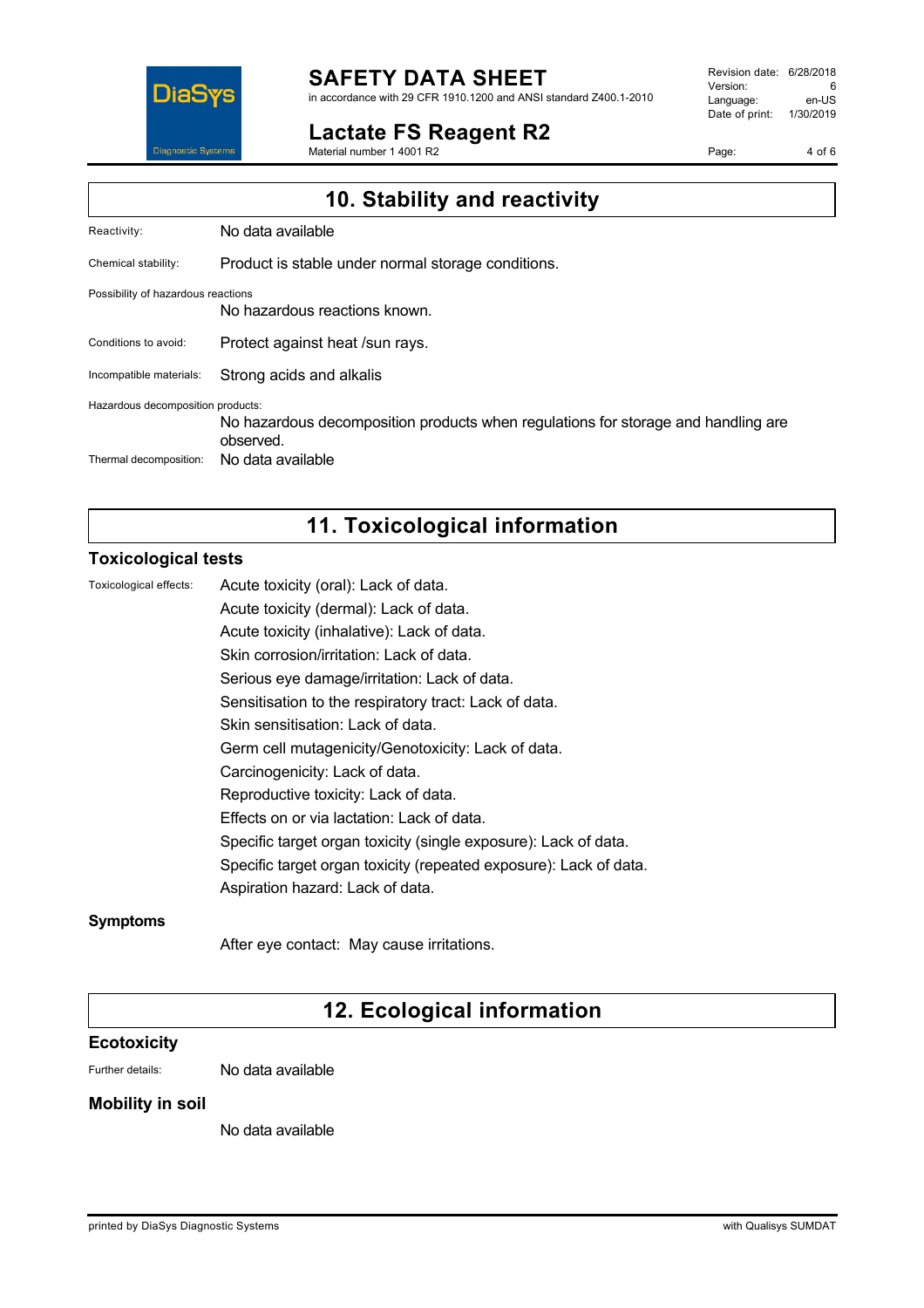

#### **SAFETY DATA SHEET** in accordance with 29 CFR 1910.1200 and ANSI standard Z400.1-2010

**Lactate FS Reagent R2**

Material number 1 4001 R2

Revision date: 6/28/2018 Version: 6<br>
Language: en-US Language: Date of print: 1/30/2019

Page: 4 of 6

| 10. Stability and reactivity                                |                                                                                                                     |  |
|-------------------------------------------------------------|---------------------------------------------------------------------------------------------------------------------|--|
| Reactivity:                                                 | No data available                                                                                                   |  |
| Chemical stability:                                         | Product is stable under normal storage conditions.                                                                  |  |
| Possibility of hazardous reactions                          | No hazardous reactions known.                                                                                       |  |
| Conditions to avoid:                                        | Protect against heat /sun rays.                                                                                     |  |
| Incompatible materials:                                     | Strong acids and alkalis                                                                                            |  |
| Hazardous decomposition products:<br>Thermal decomposition: | No hazardous decomposition products when regulations for storage and handling are<br>observed.<br>No data available |  |
|                                                             |                                                                                                                     |  |

## **11. Toxicological information**

#### **Toxicological tests**

| Toxicological effects: | Acute toxicity (oral): Lack of data.                              |
|------------------------|-------------------------------------------------------------------|
|                        | Acute toxicity (dermal): Lack of data.                            |
|                        | Acute toxicity (inhalative): Lack of data.                        |
|                        | Skin corrosion/irritation: Lack of data.                          |
|                        | Serious eye damage/irritation: Lack of data.                      |
|                        | Sensitisation to the respiratory tract: Lack of data.             |
|                        | Skin sensitisation: Lack of data.                                 |
|                        | Germ cell mutagenicity/Genotoxicity: Lack of data.                |
|                        | Carcinogenicity: Lack of data.                                    |
|                        | Reproductive toxicity: Lack of data.                              |
|                        | Effects on or via lactation: Lack of data.                        |
|                        | Specific target organ toxicity (single exposure): Lack of data.   |
|                        | Specific target organ toxicity (repeated exposure): Lack of data. |
|                        | Aspiration hazard: Lack of data.                                  |
|                        |                                                                   |

#### **Symptoms**

After eye contact: May cause irritations.

## **12. Ecological information**

#### **Ecotoxicity**

Further details: No data available

#### **Mobility in soil**

No data available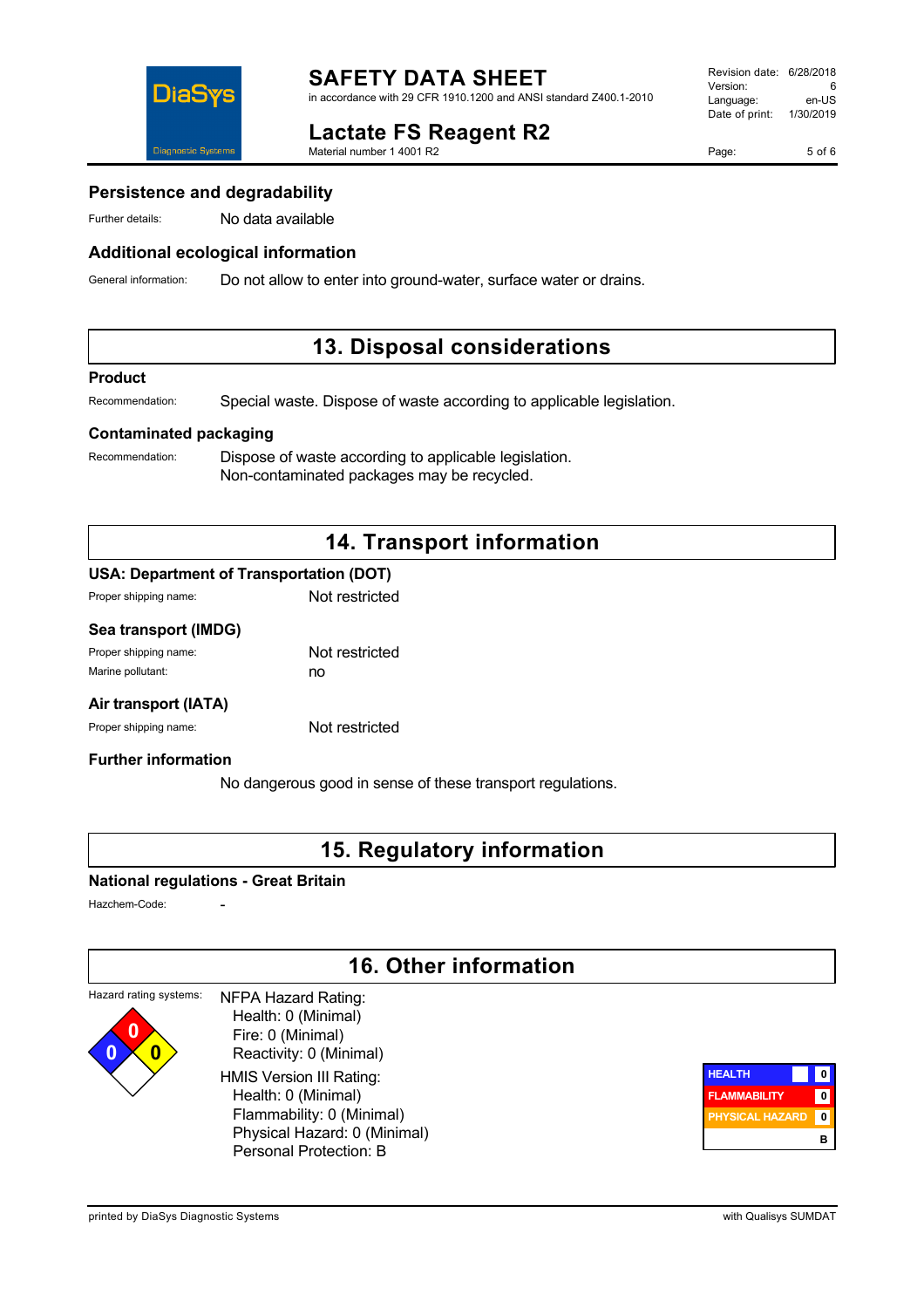

## **Lactate FS Reagent R2**

Material number 1 4001 R2

Page: 5 of 6

#### **Persistence and degradability**

Further details: No data available

#### **Additional ecological information**

General information: Do not allow to enter into ground-water, surface water or drains.

### **13. Disposal considerations**

#### **Product**

Recommendation: Special waste. Dispose of waste according to applicable legislation.

#### **Contaminated packaging**

Recommendation: Dispose of waste according to applicable legislation. Non-contaminated packages may be recycled.

### **14. Transport information**

#### **USA: Department of Transportation (DOT)**

| Proper shipping name: | Not restricted |
|-----------------------|----------------|
|                       |                |

#### **Sea transport (IMDG)**

| Proper shipping name: | Not restricted |
|-----------------------|----------------|
| Marine pollutant:     | no             |

#### **Air transport (IATA)**

Proper shipping name: Not restricted

#### **Further information**

No dangerous good in sense of these transport regulations.

### **15. Regulatory information**

#### **National regulations - Great Britain**

Hazchem-Code:

## **16. Other information**

#### Hazard rating systems: **0 0 0** NFPA Hazard Rating: Health: 0 (Minimal) Fire: 0 (Minimal) Reactivity: 0 (Minimal) HMIS Version III Rating: Health: 0 (Minimal)

 Flammability: 0 (Minimal) Physical Hazard: 0 (Minimal) Personal Protection: B